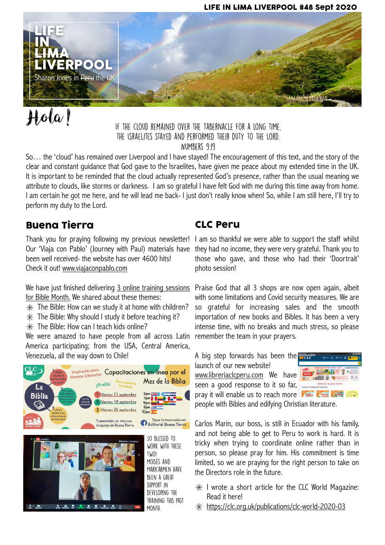#### LIFE IN LIMA LIVERPOOL #48 Sept 2020



# Hola!

#### If the cloud remained over the Tabernacle for a long time, the Israelites stayed and performed their duty to the Lord.

Numbers 9:19

So… the 'cloud' has remained over Liverpool and I have stayed! The encouragement of this text, and the story of the clear and constant guidance that God gave to the Israelites, have given me peace about my extended time in the UK. It is important to be reminded that the cloud actually represented God's presence, rather than the usual meaning we attribute to clouds, like storms or darkness. I am so grateful I have felt God with me during this time away from home. I am certain he got me here, and he will lead me back- I just don't really know when! So, while I am still here, I'll try to perform my duty to the Lord.

#### Buena Tierra

been well received- the website has over 4600 hits! Check it out! [www.viajaconpablo.com](http://www.viajaconpablo.com)

We have just finished delivering <u>3 online training sessions</u> Praise God that all 3 shops are now open again, albeit for Bible Month. We shared about these themes:

- $*$  The Bible: How can we study it at home with children?
- $*$  The Bible: Why should I study it before teaching it?
- $*$  The Bible: How can I teach kids online?

We were amazed to have people from all across Latin America participating; from the USA, Central America, Venezuela, all the way down to Chile!



₫ ×.  $\overline{\cdot}$ 

2222

support in developing the training this past month.

#### CLC Peru

Thank you for praying following my previous newsletter! I am so thankful we were able to support the staff whilst Our 'Viaja con Pablo' (Journey with Paul) materials have they had no income, they were very grateful. Thank you to those who gave, and those who had their 'Doortrait' photo session!

> with some limitations and Covid security measures. We are so grateful for increasing sales and the smooth importation of new books and Bibles. It has been a very intense time, with no breaks and much stress, so please remember the team in your prayers.

A big step forwards has been the launch of our new website!

[www.libreriaclcperu.com](http://www.libreriaclcperu.com) We have seen a good response to it so far, pray it will enable us to reach more



people with Bibles and edifying Christian literature.

Carlos Marin, our boss, is still in Ecuador with his family, and not being able to get to Peru to work is hard. It is tricky when trying to coordinate online rather than in person, so please pray for him. His commitment is time limited, so we are praying for the right person to take on the Directors role in the future.

- $*$  I wrote a short article for the CLC World Magazine: Read it here!
- <https://clc.org.uk/publications/clc-world-2020-03>